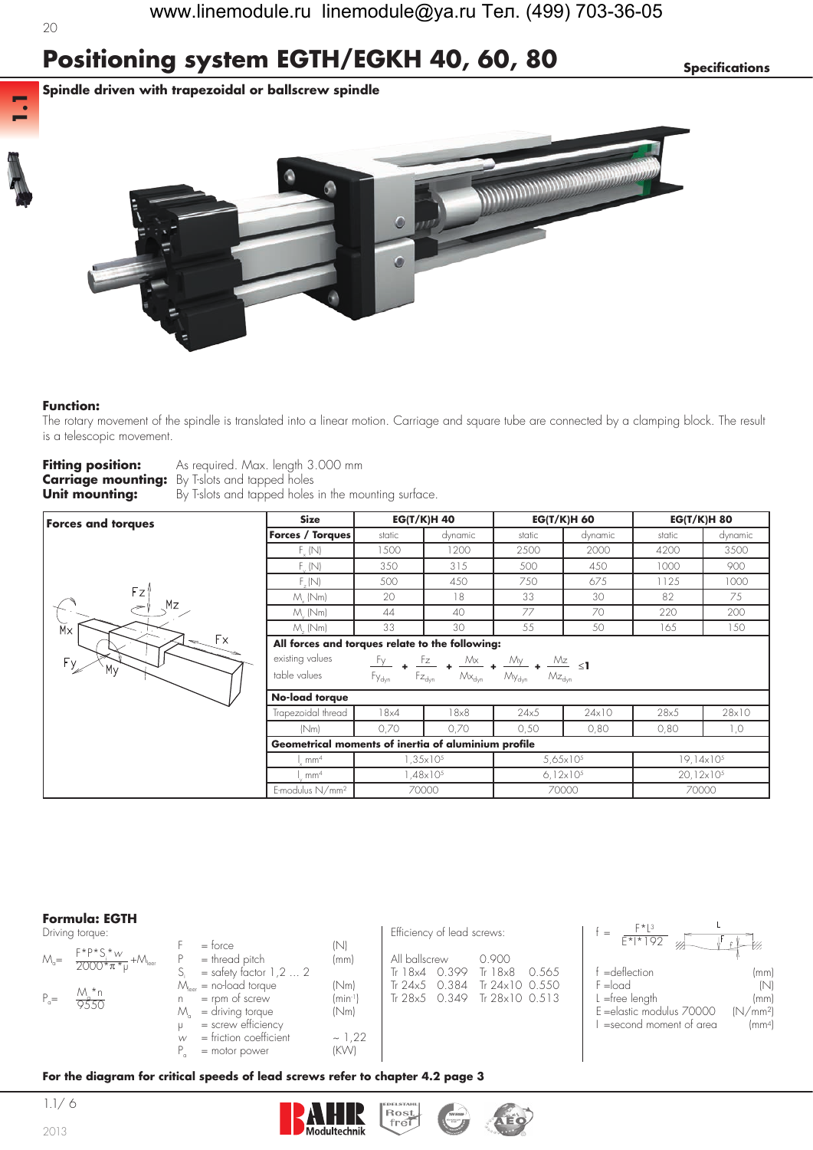**1.1**

# **Positioning system EGTH/EGKH 40, 60, 80** *Specifications*

**Spindle driven with trapezoidal or ballscrew spindle**



#### **Function:**

The rotary movement of the spindle is translated into a linear motion. Carriage and square tube are connected by a clamping block. The result is a telescopic movement.

| <b>Fitting position:</b> | As required. Max. length 3.000 mm                     |
|--------------------------|-------------------------------------------------------|
|                          | <b>Carriage mounting:</b> By T-slots and tapped holes |
| Unit mounting:           | By T-slots and tapped holes in the mounting surface.  |

| <b>Forces and torques</b> | <b>Size</b>                                                                                     |                                                                                                                                                                                                                                                                                                  | <b>EG(T/K)H 40</b>  |        | <b>EG(T/K)H 60</b>   | <b>EG(T/K)H 80</b>    |         |  |  |  |  |  |
|---------------------------|-------------------------------------------------------------------------------------------------|--------------------------------------------------------------------------------------------------------------------------------------------------------------------------------------------------------------------------------------------------------------------------------------------------|---------------------|--------|----------------------|-----------------------|---------|--|--|--|--|--|
|                           | <b>Forces / Torques</b>                                                                         | static                                                                                                                                                                                                                                                                                           | dynamic             | static | dynamic              | static                | dynamic |  |  |  |  |  |
|                           | $F_{v}$ (N)                                                                                     | 1500                                                                                                                                                                                                                                                                                             | 1200                | 2500   | 2000                 | 4200                  | 3500    |  |  |  |  |  |
|                           | $F_{\nu}$ (N)                                                                                   | 350                                                                                                                                                                                                                                                                                              | 315                 | 500    | 450                  | 1000                  | 900     |  |  |  |  |  |
|                           | $F_{r}(N)$                                                                                      | 500                                                                                                                                                                                                                                                                                              | 450                 | 750    | 675                  | 1125                  | 1000    |  |  |  |  |  |
| Fz'                       | $M_{\nu}$ (Nm)                                                                                  | 20 <sup>o</sup>                                                                                                                                                                                                                                                                                  | 18                  | 33     | 30                   | 82                    | 75      |  |  |  |  |  |
| Mz                        | $M_{\odot}$ (Nm)                                                                                | 44                                                                                                                                                                                                                                                                                               | 40                  | 77     | 70                   | 220                   | 200     |  |  |  |  |  |
| Mx                        | $M_{.}$ (Nm)                                                                                    | 33                                                                                                                                                                                                                                                                                               | 30                  | 55     | 50                   | 165                   | 150     |  |  |  |  |  |
| Fx.                       | All forces and torques relate to the following:                                                 |                                                                                                                                                                                                                                                                                                  |                     |        |                      |                       |         |  |  |  |  |  |
| Fy.                       | existing values                                                                                 |                                                                                                                                                                                                                                                                                                  |                     |        |                      |                       |         |  |  |  |  |  |
| My                        | table values                                                                                    | $\begin{array}{ccccc} F_{y} & \bullet & F_{z} & \bullet & \mathcal{M}_x & \bullet & \mathcal{M}_y & \bullet & \mathcal{M}_z \\ F_{y_{\text{dyn}}} & \bullet & F_{z_{\text{dyn}}} & \bullet & \mathcal{M}_{y_{\text{dyn}}} & \bullet & \mathcal{M}_{z_{\text{dyn}}} & \bullet \end{array} \leq 1$ |                     |        |                      |                       |         |  |  |  |  |  |
|                           | No-load torque                                                                                  |                                                                                                                                                                                                                                                                                                  |                     |        |                      |                       |         |  |  |  |  |  |
|                           | Trapezoidal thread                                                                              | 18x4                                                                                                                                                                                                                                                                                             | 18x8                | 24x5   | 24x10                | 28x5                  | 28×10   |  |  |  |  |  |
|                           | (Nm)                                                                                            | 0,70                                                                                                                                                                                                                                                                                             | 0,70                | 0,50   | 0,80                 | 0,80                  | 1,0     |  |  |  |  |  |
|                           | Geometrical moments of inertia of aluminium profile                                             |                                                                                                                                                                                                                                                                                                  |                     |        |                      |                       |         |  |  |  |  |  |
|                           | $1,35\times10^{5}$<br>$19,14 \times 10^{5}$<br>5,65 $\times$ 10 <sup>5</sup><br>mm <sup>4</sup> |                                                                                                                                                                                                                                                                                                  |                     |        |                      |                       |         |  |  |  |  |  |
|                           | mm <sup>4</sup>                                                                                 |                                                                                                                                                                                                                                                                                                  | $.48 \times 10^{5}$ |        | $6.12 \times 10^{5}$ | 20,12×10 <sup>5</sup> |         |  |  |  |  |  |
|                           | E-modulus N/mm <sup>2</sup>                                                                     |                                                                                                                                                                                                                                                                                                  | 70000               |        | 70000                |                       | 70000   |  |  |  |  |  |

### **Formula: EGTH**

|                | Formula: EGTH<br>Driving torque:                                     |                                                                                                                                    |                           | Efficiency of lead screws:                 |                                                                    | $F^{\star}L^{3}$                                                                       |                                                             |
|----------------|----------------------------------------------------------------------|------------------------------------------------------------------------------------------------------------------------------------|---------------------------|--------------------------------------------|--------------------------------------------------------------------|----------------------------------------------------------------------------------------|-------------------------------------------------------------|
|                | $M_{\rm g} = \frac{F^* P^* S_i^* w}{2000^* \pi^* \mu} + M_{\rm bar}$ | $=$ force<br>$=$ thread pitch                                                                                                      | (N)<br>(mm)               | All ballscrew                              | 0.900                                                              | $E^*$  * 192<br>=deflection                                                            |                                                             |
| $P_{\alpha} =$ | $\frac{M_a * n}{9550}$                                               | $=$ safety factor 1,2  2<br>$M_{\text{loc}}$ = no-load torque<br>$=$ rpm of screw<br>= driving torque<br>M<br>$=$ screw efficiency | (Nm)<br>$(min-1)$<br>(Nm) | Tr $18x4$ 0.399<br>0.384<br>Tr $24\times5$ | Tr 18x8<br>0.565<br>Tr 24x10 0.550<br>Tr 28x5 0.349 Tr 28x10 0.513 | $F =$ load<br>$L =$ free length<br>E = elastic modulus 70000<br>=second moment of area | (mm)<br>(N)<br>(mm)<br>(N/mm <sup>2</sup> )<br>$\text{m}^4$ |
|                |                                                                      | $=$ friction coefficient<br>$=$ motor power                                                                                        | ~1,22<br>(KW)             |                                            |                                                                    |                                                                                        |                                                             |

#### **For the diagram for critical speeds of lead screws refer to chapter 4.2 page 3**